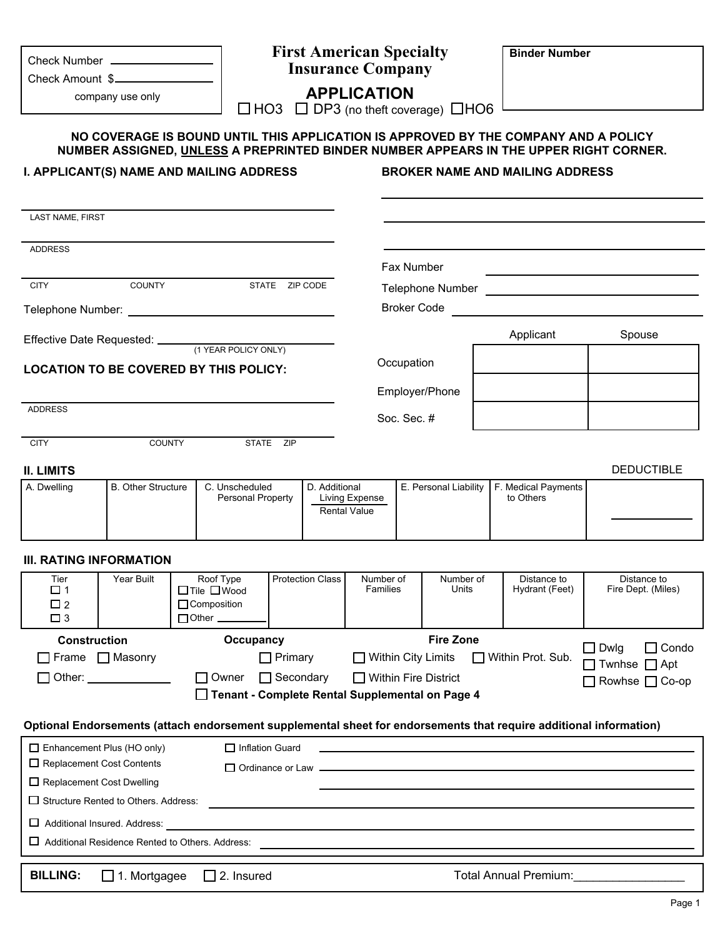| Check Number<br>Check Amount \$                                                                      |                                                        |                                                                                                                                                                              | <b>First American Specialty</b><br><b>Insurance Company</b>                |                                       |                                                                              |       | <b>Binder Number</b>                   |                                                                                                                       |
|------------------------------------------------------------------------------------------------------|--------------------------------------------------------|------------------------------------------------------------------------------------------------------------------------------------------------------------------------------|----------------------------------------------------------------------------|---------------------------------------|------------------------------------------------------------------------------|-------|----------------------------------------|-----------------------------------------------------------------------------------------------------------------------|
|                                                                                                      | company use only                                       |                                                                                                                                                                              | <b>APPLICATION</b><br>$\Box$ HO3 $\Box$ DP3 (no theft coverage) $\Box$ HO6 |                                       |                                                                              |       |                                        |                                                                                                                       |
|                                                                                                      |                                                        | NO COVERAGE IS BOUND UNTIL THIS APPLICATION IS APPROVED BY THE COMPANY AND A POLICY<br>NUMBER ASSIGNED, UNLESS A PREPRINTED BINDER NUMBER APPEARS IN THE UPPER RIGHT CORNER. |                                                                            |                                       |                                                                              |       |                                        |                                                                                                                       |
|                                                                                                      |                                                        | I. APPLICANT(S) NAME AND MAILING ADDRESS                                                                                                                                     |                                                                            |                                       |                                                                              |       | <b>BROKER NAME AND MAILING ADDRESS</b> |                                                                                                                       |
| <b>LAST NAME, FIRST</b>                                                                              |                                                        |                                                                                                                                                                              |                                                                            |                                       |                                                                              |       |                                        |                                                                                                                       |
| <b>ADDRESS</b>                                                                                       |                                                        |                                                                                                                                                                              |                                                                            |                                       |                                                                              |       |                                        |                                                                                                                       |
| <b>CITY</b>                                                                                          | COUNTY                                                 |                                                                                                                                                                              | STATE ZIP CODE                                                             |                                       | Fax Number                                                                   |       |                                        |                                                                                                                       |
|                                                                                                      |                                                        |                                                                                                                                                                              |                                                                            |                                       | <b>Broker Code</b>                                                           |       |                                        | <u> 1989 - Johann Harry Harry Harry Harry Harry Harry Harry Harry Harry Harry Harry Harry Harry Harry Harry Harry</u> |
|                                                                                                      |                                                        |                                                                                                                                                                              |                                                                            |                                       |                                                                              |       | Applicant                              | Spouse                                                                                                                |
|                                                                                                      |                                                        | <b>LOCATION TO BE COVERED BY THIS POLICY:</b>                                                                                                                                |                                                                            |                                       | Occupation                                                                   |       |                                        |                                                                                                                       |
|                                                                                                      |                                                        |                                                                                                                                                                              |                                                                            | Employer/Phone                        |                                                                              |       |                                        |                                                                                                                       |
| <b>ADDRESS</b>                                                                                       |                                                        |                                                                                                                                                                              |                                                                            |                                       | Soc. Sec. #                                                                  |       |                                        |                                                                                                                       |
| <b>CITY</b>                                                                                          | <b>COUNTY</b>                                          | STATE ZIP                                                                                                                                                                    |                                                                            |                                       |                                                                              |       |                                        |                                                                                                                       |
| <b>II. LIMITS</b>                                                                                    |                                                        |                                                                                                                                                                              |                                                                            |                                       |                                                                              |       |                                        | <b>DEDUCTIBLE</b>                                                                                                     |
| A. Dwelling                                                                                          | <b>B. Other Structure</b>                              | C. Unscheduled<br>Personal Property                                                                                                                                          | D. Additional                                                              | Living Expense<br><b>Rental Value</b> | E. Personal Liability                                                        |       | F. Medical Payments<br>to Others       |                                                                                                                       |
| <b>III. RATING INFORMATION</b>                                                                       |                                                        |                                                                                                                                                                              |                                                                            |                                       |                                                                              |       |                                        |                                                                                                                       |
| Tier<br>□ 1<br>$\square$ 2<br>$\square$ 3                                                            | Year Built                                             | Roof Type Protection Class Number of<br>$\Box$ Tile $\Box$ Wood<br>Composition<br>$\Box$ Other $\_\_$                                                                        |                                                                            | Families                              | Number of                                                                    | Units | Distance to<br>Hydrant (Feet)          | Distance to<br>Fire Dept. (Miles)                                                                                     |
| <b>Construction</b><br>$\Box$ Frame $\Box$ Masonry                                                   | Other: _______________                                 | Occupancy<br>Owner<br>$\mathbf{1}$<br>Tenant - Complete Rental Supplemental on Page 4                                                                                        | $\Box$ Primary<br>$\Box$ Secondary                                         |                                       | <b>Fire Zone</b><br>$\Box$ Within City Limits<br>$\Box$ Within Fire District |       | □ Within Prot. Sub.                    | $\Box$ Condo<br>$\exists$ Dwlg<br>$\exists$ Twnhse $\Box$ Apt<br>Rowhse □ Co-op                                       |
|                                                                                                      |                                                        | Optional Endorsements (attach endorsement supplemental sheet for endorsements that require additional information)                                                           |                                                                            |                                       |                                                                              |       |                                        |                                                                                                                       |
| $\Box$ Enhancement Plus (HO only)<br>$\Box$ Replacement Cost Contents<br>□ Replacement Cost Dwelling | $\Box$ Structure Rented to Others. Address:            | $\Box$ Inflation Guard                                                                                                                                                       |                                                                            |                                       |                                                                              |       | $\Box$ Ordinance or Law $\Box$         |                                                                                                                       |
| Additional Insured. Address:                                                                         |                                                        |                                                                                                                                                                              |                                                                            |                                       |                                                                              |       |                                        |                                                                                                                       |
|                                                                                                      | $\Box$ Additional Residence Rented to Others. Address: |                                                                                                                                                                              |                                                                            |                                       |                                                                              |       |                                        |                                                                                                                       |
|                                                                                                      |                                                        |                                                                                                                                                                              |                                                                            |                                       |                                                                              |       |                                        |                                                                                                                       |

**BILLING:** □ 1. Mortgagee □ 2. Insured

Total Annual Premium:

Page 1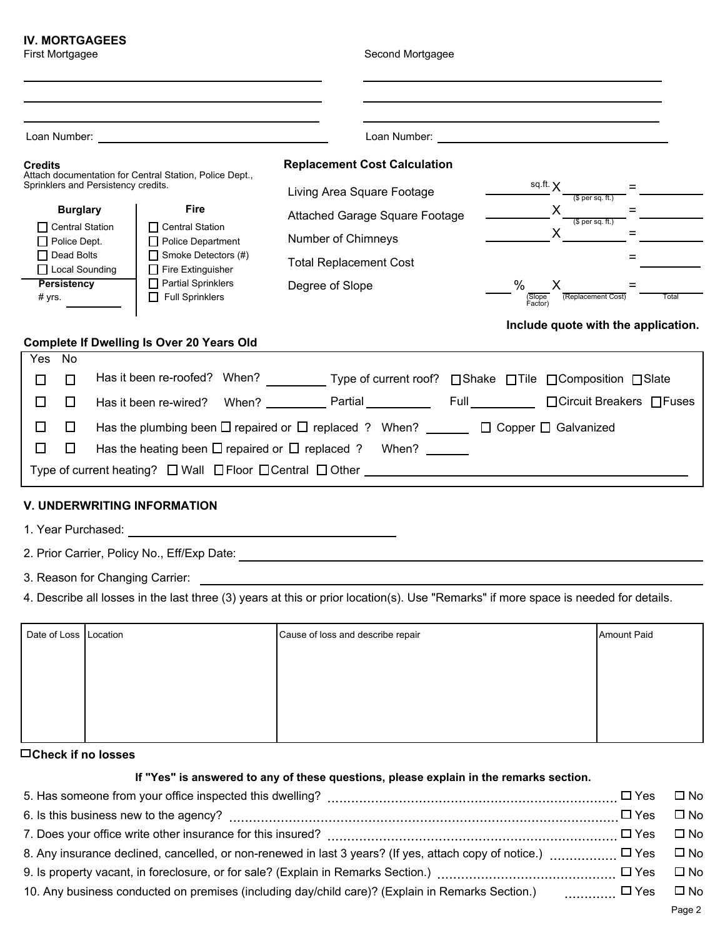# **IV. MORTGAGEES**

First Mortgagee Second Mortgagee

| <b>Credits</b>                                                                          |                                                                                                                      |                                     |                                                                                                 |  |                 | <b>Replacement Cost Calculation</b>   |                    |                            |                              |   |                                     |  |  |
|-----------------------------------------------------------------------------------------|----------------------------------------------------------------------------------------------------------------------|-------------------------------------|-------------------------------------------------------------------------------------------------|--|-----------------|---------------------------------------|--------------------|----------------------------|------------------------------|---|-------------------------------------|--|--|
|                                                                                         |                                                                                                                      | Sprinklers and Persistency credits. | Attach documentation for Central Station, Police Dept.,                                         |  |                 | Living Area Square Footage            |                    |                            | sq.ft. X<br>$$$ per sq. ft.) |   |                                     |  |  |
|                                                                                         | <b>Burglary</b>                                                                                                      |                                     | <b>Fire</b>                                                                                     |  |                 | <b>Attached Garage Square Footage</b> |                    |                            |                              | X | $$$ per sq. ft.)                    |  |  |
| □ Central Station<br>$\Box$ Central Station<br>$\Box$ Police Department<br>Police Dept. |                                                                                                                      |                                     | Number of Chimneys                                                                              |  |                 |                                       | X                  |                            | =                            |   |                                     |  |  |
| Dead Bolts<br>$\Box$ Smoke Detectors (#)                                                |                                                                                                                      |                                     |                                                                                                 |  |                 |                                       |                    |                            | $=$                          |   |                                     |  |  |
| $\Box$ Local Sounding<br>$\Box$ Fire Extinguisher                                       |                                                                                                                      |                                     | <b>Total Replacement Cost</b>                                                                   |  |                 |                                       |                    |                            |                              |   |                                     |  |  |
| $\Box$ Partial Sprinklers<br>Persistency                                                |                                                                                                                      |                                     | Degree of Slope                                                                                 |  | $\%$<br>(Slope) | X                                     | (Replacement Cost) |                            | Total                        |   |                                     |  |  |
| $\Box$ Full Sprinklers<br># yrs.                                                        |                                                                                                                      |                                     |                                                                                                 |  |                 | Factor)                               |                    |                            |                              |   |                                     |  |  |
|                                                                                         |                                                                                                                      |                                     |                                                                                                 |  |                 |                                       |                    |                            |                              |   | Include quote with the application. |  |  |
|                                                                                         |                                                                                                                      |                                     | <b>Complete If Dwelling Is Over 20 Years Old</b>                                                |  |                 |                                       |                    |                            |                              |   |                                     |  |  |
| Yes                                                                                     | No                                                                                                                   |                                     |                                                                                                 |  |                 |                                       |                    |                            |                              |   |                                     |  |  |
|                                                                                         | П                                                                                                                    |                                     | Has it been re-roofed? When? ____________Type of current roof? □Shake □Tile □Composition □Slate |  |                 |                                       |                    |                            |                              |   |                                     |  |  |
| П<br>$\Box$                                                                             |                                                                                                                      |                                     |                                                                                                 |  |                 |                                       |                    | □ Circuit Breakers □ Fuses |                              |   |                                     |  |  |
| $\overline{\phantom{a}}$                                                                | Has the plumbing been $\Box$ repaired or $\Box$ replaced ? When? _________ $\Box$ Copper $\Box$ Galvanized<br>$\Box$ |                                     |                                                                                                 |  |                 |                                       |                    |                            |                              |   |                                     |  |  |
|                                                                                         | ΙI                                                                                                                   |                                     | Has the heating been $\Box$ repaired or $\Box$ replaced ?                                       |  |                 |                                       | When?              |                            |                              |   |                                     |  |  |
|                                                                                         |                                                                                                                      |                                     | Type of current heating? $\Box$ Wall $\Box$ Floor $\Box$ Central $\Box$ Other                   |  |                 |                                       |                    |                            |                              |   |                                     |  |  |

## **V. UNDERWRITING INFORMATION**

1. Year Purchased:

2. Prior Carrier, Policy No., Eff/Exp Date:

3. Reason for Changing Carrier:

4. Describe all losses in the last three (3) years at this or prior location(s). Use "Remarks" if more space is needed for details.

| Date of Loss Location | Cause of loss and describe repair | Amount Paid |
|-----------------------|-----------------------------------|-------------|
|                       |                                   |             |
|                       |                                   |             |
|                       |                                   |             |
|                       |                                   |             |

**Check if no losses**

### **If "Yes" is answered to any of these questions, please explain in the remarks section.**

|                                                                                                                                                                      | □ Yes □ No |              |
|----------------------------------------------------------------------------------------------------------------------------------------------------------------------|------------|--------------|
|                                                                                                                                                                      |            | $\square$ No |
|                                                                                                                                                                      |            | ⊟ No         |
|                                                                                                                                                                      |            | $\Box$ No    |
| 9. Is property vacant, in foreclosure, or for sale? (Explain in Remarks Section.) $\ldots$ $\ldots$ $\ldots$ $\ldots$ $\ldots$ $\ldots$ $\ldots$ $\ldots$ $\Box$ Yes |            | ⊟ No         |
|                                                                                                                                                                      |            |              |
|                                                                                                                                                                      |            |              |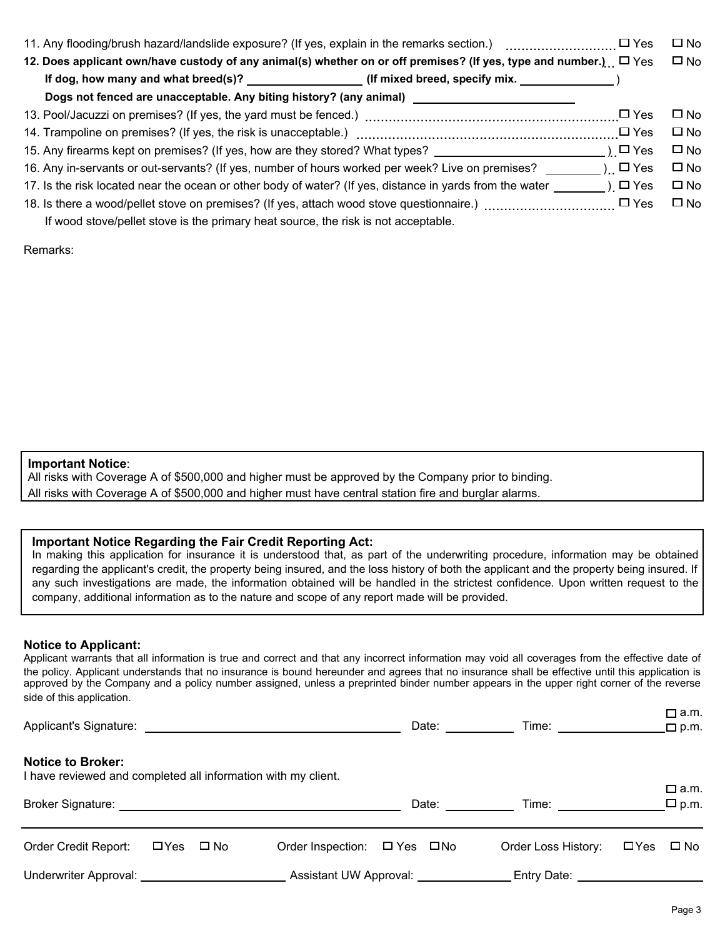|                                                                                                                              | $\Box$ Yes    | □ No         |
|------------------------------------------------------------------------------------------------------------------------------|---------------|--------------|
| 12. Does applicant own/have custody of any animal(s) whether on or off premises? (If yes, type and number.) $\Box$ Yes       |               | $\square$ No |
| If dog, how many and what breed(s)? __________________(If mixed breed, specify mix. _______________)                         |               |              |
| Dogs not fenced are unacceptable. Any biting history? (any animal)                                                           |               |              |
|                                                                                                                              | $\square$ Yes | $\square$ No |
|                                                                                                                              | $\square$ Yes | $\square$ No |
| 15. Any firearms kept on premises? (If yes, how are they stored? What types? ______________________                          | ) □ Yes       | $\square$ No |
|                                                                                                                              |               | $\square$ No |
| 17. Is the risk located near the ocean or other body of water? (If yes, distance in yards from the water $\Box$ ) $\Box$ Yes |               | $\square$ No |
|                                                                                                                              | $\square$ Yes | $\square$ No |
| If wood stove/pellet stove is the primary heat source, the risk is not acceptable.                                           |               |              |

Remarks:

#### **Important Notice**:

All risks with Coverage A of \$500,000 and higher must be approved by the Company prior to binding. All risks with Coverage A of \$500,000 and higher must have central station fire and burglar alarms.

### **Important Notice Regarding the Fair Credit Reporting Act:**

In making this application for insurance it is understood that, as part of the underwriting procedure, information may be obtained regarding the applicant's credit, the property being insured, and the loss history of both the applicant and the property being insured. If any such investigations are made, the information obtained will be handled in the strictest confidence. Upon written request to the company, additional information as to the nature and scope of any report made will be provided.

## **Notice to Applicant:**

Applicant warrants that all information is true and correct and that any incorrect information may void all coverages from the effective date of the policy. Applicant understands that no insurance is bound hereunder and agrees that no insurance shall be effective until this application is approved by the Company and a policy number assigned, unless a preprinted binder number appears in the upper right corner of the reverse side of this application.

|                                                                                           |                      | Applicant's Signature: Applicant and Applicant is Signature: | Date: <u>New York Base</u>                                                                                                                                                                                                     | Time: _______________               | ________<br>$\Box$ p.m.       |
|-------------------------------------------------------------------------------------------|----------------------|--------------------------------------------------------------|--------------------------------------------------------------------------------------------------------------------------------------------------------------------------------------------------------------------------------|-------------------------------------|-------------------------------|
| <b>Notice to Broker:</b><br>I have reviewed and completed all information with my client. |                      |                                                              | Date: the contract of the contract of the contract of the contract of the contract of the contract of the contract of the contract of the contract of the contract of the contract of the contract of the contract of the cont | Time: _______________               | $\Box$ a.m.<br>$\square$ p.m. |
| Order Credit Report:                                                                      | $\Box$ Yes $\Box$ No | Order Inspection: $\Box$ Yes $\Box$ No                       |                                                                                                                                                                                                                                | Order Loss History:                 | $\Box$ Yes $\Box$ No          |
| Underwriter Approval: Underwriter Approval:                                               |                      |                                                              | Assistant UW Approval:                                                                                                                                                                                                         | Entry Date: New York Property Date: |                               |

m<sub>a</sub>m